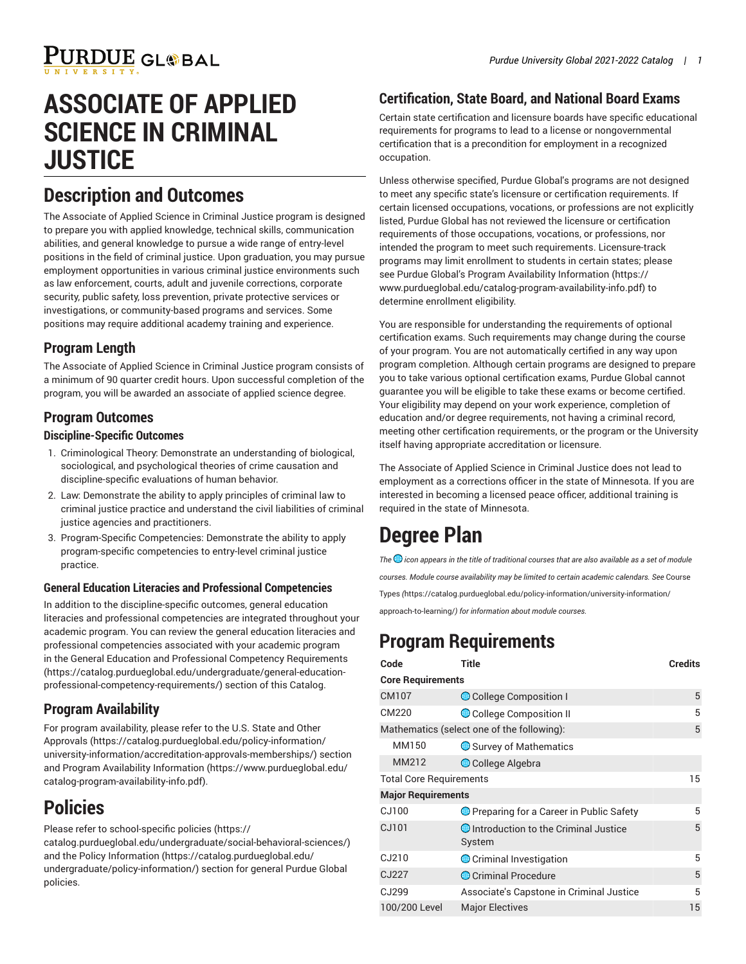# **ASSOCIATE OF APPLIED SCIENCE IN CRIMINAL JUSTICE**

### **Description and Outcomes**

The Associate of Applied Science in Criminal Justice program is designed to prepare you with applied knowledge, technical skills, communication abilities, and general knowledge to pursue a wide range of entry-level positions in the field of criminal justice. Upon graduation, you may pursue employment opportunities in various criminal justice environments such as law enforcement, courts, adult and juvenile corrections, corporate security, public safety, loss prevention, private protective services or investigations, or community-based programs and services. Some positions may require additional academy training and experience.

### **Program Length**

The Associate of Applied Science in Criminal Justice program consists of a minimum of 90 quarter credit hours. Upon successful completion of the program, you will be awarded an associate of applied science degree.

#### **Program Outcomes**

#### **Discipline-Specific Outcomes**

- 1. Criminological Theory: Demonstrate an understanding of biological, sociological, and psychological theories of crime causation and discipline-specific evaluations of human behavior.
- 2. Law: Demonstrate the ability to apply principles of criminal law to criminal justice practice and understand the civil liabilities of criminal justice agencies and practitioners.
- 3. Program-Specific Competencies: Demonstrate the ability to apply program-specific competencies to entry-level criminal justice practice.

#### **General Education Literacies and Professional Competencies**

In addition to the discipline-specific outcomes, general education literacies and professional competencies are integrated throughout your academic program. You can review the general education literacies and professional competencies associated with your academic program in the General Education and Professional Competency [Requirements](https://catalog.purdueglobal.edu/undergraduate/general-education-professional-competency-requirements/) ([https://catalog.purdueglobal.edu/undergraduate/general-education](https://catalog.purdueglobal.edu/undergraduate/general-education-professional-competency-requirements/)[professional-competency-requirements/](https://catalog.purdueglobal.edu/undergraduate/general-education-professional-competency-requirements/)) section of this Catalog.

### **Program Availability**

For program availability, please refer to the [U.S. State and Other](https://catalog.purdueglobal.edu/policy-information/university-information/accreditation-approvals-memberships/) [Approvals](https://catalog.purdueglobal.edu/policy-information/university-information/accreditation-approvals-memberships/) ([https://catalog.purdueglobal.edu/policy-information/](https://catalog.purdueglobal.edu/policy-information/university-information/accreditation-approvals-memberships/) [university-information/accreditation-approvals-memberships/\)](https://catalog.purdueglobal.edu/policy-information/university-information/accreditation-approvals-memberships/) section and Program Availability [Information \(https://www.purdueglobal.edu/](https://www.purdueglobal.edu/catalog-program-availability-info.pdf) [catalog-program-availability-info.pdf](https://www.purdueglobal.edu/catalog-program-availability-info.pdf)).

## **Policies**

Please refer to [school-specific policies \(https://](https://catalog.purdueglobal.edu/undergraduate/social-behavioral-sciences/)

[catalog.purdueglobal.edu/undergraduate/social-behavioral-sciences/](https://catalog.purdueglobal.edu/undergraduate/social-behavioral-sciences/)) and the Policy [Information](https://catalog.purdueglobal.edu/undergraduate/policy-information/) ([https://catalog.purdueglobal.edu/](https://catalog.purdueglobal.edu/undergraduate/policy-information/) [undergraduate/policy-information/\)](https://catalog.purdueglobal.edu/undergraduate/policy-information/) section for general Purdue Global policies.

### **Certification, State Board, and National Board Exams**

Certain state certification and licensure boards have specific educational requirements for programs to lead to a license or nongovernmental certification that is a precondition for employment in a recognized occupation.

Unless otherwise specified, Purdue Global's programs are not designed to meet any specific state's licensure or certification requirements. If certain licensed occupations, vocations, or professions are not explicitly listed, Purdue Global has not reviewed the licensure or certification requirements of those occupations, vocations, or professions, nor intended the program to meet such requirements. Licensure-track programs may limit enrollment to students in certain states; please see Purdue Global's Program Availability [Information](https://www.purdueglobal.edu/catalog-program-availability-info.pdf) ([https://](https://www.purdueglobal.edu/catalog-program-availability-info.pdf) [www.purdueglobal.edu/catalog-program-availability-info.pdf](https://www.purdueglobal.edu/catalog-program-availability-info.pdf)) to determine enrollment eligibility.

You are responsible for understanding the requirements of optional certification exams. Such requirements may change during the course of your program. You are not automatically certified in any way upon program completion. Although certain programs are designed to prepare you to take various optional certification exams, Purdue Global cannot guarantee you will be eligible to take these exams or become certified. Your eligibility may depend on your work experience, completion of education and/or degree requirements, not having a criminal record, meeting other certification requirements, or the program or the University itself having appropriate accreditation or licensure.

The Associate of Applied Science in Criminal Justice does not lead to employment as a corrections officer in the state of Minnesota. If you are interested in becoming a licensed peace officer, additional training is required in the state of Minnesota.

## **Degree Plan**

*The icon appears in the title of traditional courses that are also available as a set of module courses. Module course availability may be limited to certain academic calendars. See* [Course](https://catalog.purdueglobal.edu/policy-information/university-information/approach-to-learning/) [Types](https://catalog.purdueglobal.edu/policy-information/university-information/approach-to-learning/) *(*[https://catalog.purdueglobal.edu/policy-information/university-information/](https://catalog.purdueglobal.edu/policy-information/university-information/approach-to-learning/) [approach-to-learning/](https://catalog.purdueglobal.edu/policy-information/university-information/approach-to-learning/)*) for information about module courses.*

## **Program Requirements**

| Code                                       | <b>Title</b>                                     | <b>Credits</b> |
|--------------------------------------------|--------------------------------------------------|----------------|
| <b>Core Requirements</b>                   |                                                  |                |
| CM107                                      | College Composition I                            | 5              |
| CM220                                      | College Composition II                           | 5              |
| Mathematics (select one of the following): |                                                  | 5              |
| MM150                                      | Survey of Mathematics                            |                |
| MM212                                      | College Algebra                                  |                |
| <b>Total Core Requirements</b>             |                                                  | 15             |
| <b>Major Requirements</b>                  |                                                  |                |
| CJ100                                      | <b>O</b> Preparing for a Career in Public Safety | 5              |
| CJ101                                      | Introduction to the Criminal Justice<br>System   | 5              |
| CJ210                                      | Criminal Investigation                           | 5              |
| CJ227                                      | Criminal Procedure                               | 5              |
| CJ299                                      | Associate's Capstone in Criminal Justice         | 5              |
| 100/200 Level                              | <b>Major Electives</b>                           | 15             |